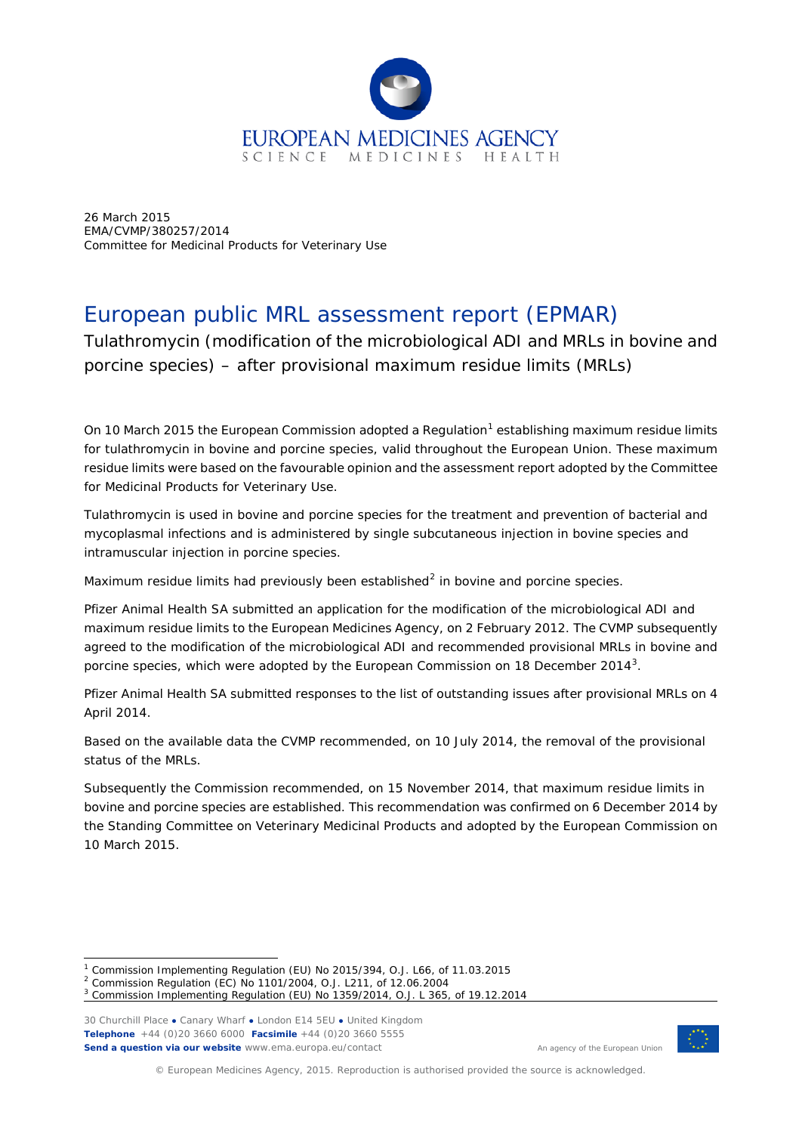

26 March 2015 EMA/CVMP/380257/2014 Committee for Medicinal Products for Veterinary Use

# European public MRL assessment report (EPMAR)

Tulathromycin (modification of the microbiological ADI and MRLs in bovine and porcine species) – after provisional maximum residue limits (MRLs)

On [1](#page-0-0)0 March 2015 the European Commission adopted a Regulation<sup>1</sup> establishing maximum residue limits for tulathromycin in bovine and porcine species, valid throughout the European Union. These maximum residue limits were based on the favourable opinion and the assessment report adopted by the Committee for Medicinal Products for Veterinary Use.

Tulathromycin is used in bovine and porcine species for the treatment and prevention of bacterial and mycoplasmal infections and is administered by single subcutaneous injection in bovine species and intramuscular injection in porcine species.

Maximum residue limits had previously been established $^2$  $^2$  in bovine and porcine species.

Pfizer Animal Health SA submitted an application for the modification of the microbiological ADI and maximum residue limits to the European Medicines Agency, on 2 February 2012. The CVMP subsequently agreed to the modification of the microbiological ADI and recommended provisional MRLs in bovine and porcine species, which were adopted by the European Commission on 18 December 2014<sup>[3](#page-0-2)</sup>.

Pfizer Animal Health SA submitted responses to the list of outstanding issues after provisional MRLs on 4 April 2014.

Based on the available data the CVMP recommended, on 10 July 2014, the removal of the provisional status of the MRLs.

Subsequently the Commission recommended, on 15 November 2014, that maximum residue limits in bovine and porcine species are established. This recommendation was confirmed on 6 December 2014 by the Standing Committee on Veterinary Medicinal Products and adopted by the European Commission on 10 March 2015.

30 Churchill Place **●** Canary Wharf **●** London E14 5EU **●** United Kingdom **Telephone** +44 (0)20 3660 6000 **Facsimile** +44 (0)20 3660 5555 **Send a question via our website** www.ema.europa.eu/contact

ł



An agency of the European Union

© European Medicines Agency, 2015. Reproduction is authorised provided the source is acknowledged.

<span id="page-0-0"></span><sup>1</sup> Commission Implementing Regulation (EU) No 2015/394, O.J. L66, of 11.03.2015

<span id="page-0-1"></span><sup>2</sup> Commission Regulation (EC) No 1101/2004, O.J. L211, of 12.06.2004

<span id="page-0-2"></span><sup>3</sup> Commission Implementing Regulation (EU) No 1359/2014, O.J. L 365, of 19.12.2014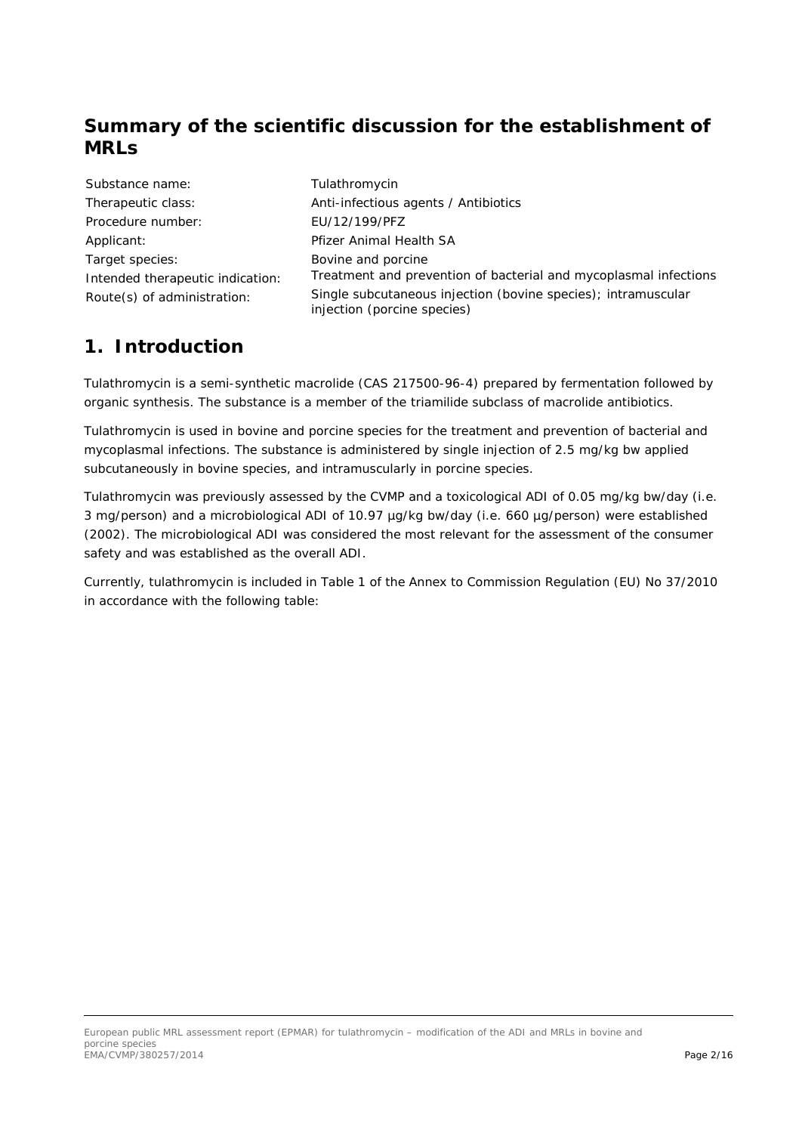# **Summary of the scientific discussion for the establishment of MRLs**

| Substance name:                  |
|----------------------------------|
| Therapeutic class:               |
| Procedure number:                |
| Applicant:                       |
| Target species:                  |
| Intended therapeutic indication: |
| Route(s) of administration:      |

Tulathromycin Anti-infectious agents / Antibiotics Procedure number: EU/12/199/PFZ Pfizer Animal Health SA Bovine and porcine Treatment and prevention of bacterial and mycoplasmal infections Single subcutaneous injection (bovine species); intramuscular injection (porcine species)

# **1. Introduction**

Tulathromycin is a semi-synthetic macrolide (CAS 217500-96-4) prepared by fermentation followed by organic synthesis. The substance is a member of the triamilide subclass of macrolide antibiotics.

Tulathromycin is used in bovine and porcine species for the treatment and prevention of bacterial and mycoplasmal infections. The substance is administered by single injection of 2.5 mg/kg bw applied subcutaneously in bovine species, and intramuscularly in porcine species.

Tulathromycin was previously assessed by the CVMP and a toxicological ADI of 0.05 mg/kg bw/day (i.e. 3 mg/person) and a microbiological ADI of 10.97 µg/kg bw/day (i.e. 660 µg/person) were established (2002). The microbiological ADI was considered the most relevant for the assessment of the consumer safety and was established as the overall ADI.

Currently, tulathromycin is included in Table 1 of the Annex to Commission Regulation (EU) No 37/2010 in accordance with the following table: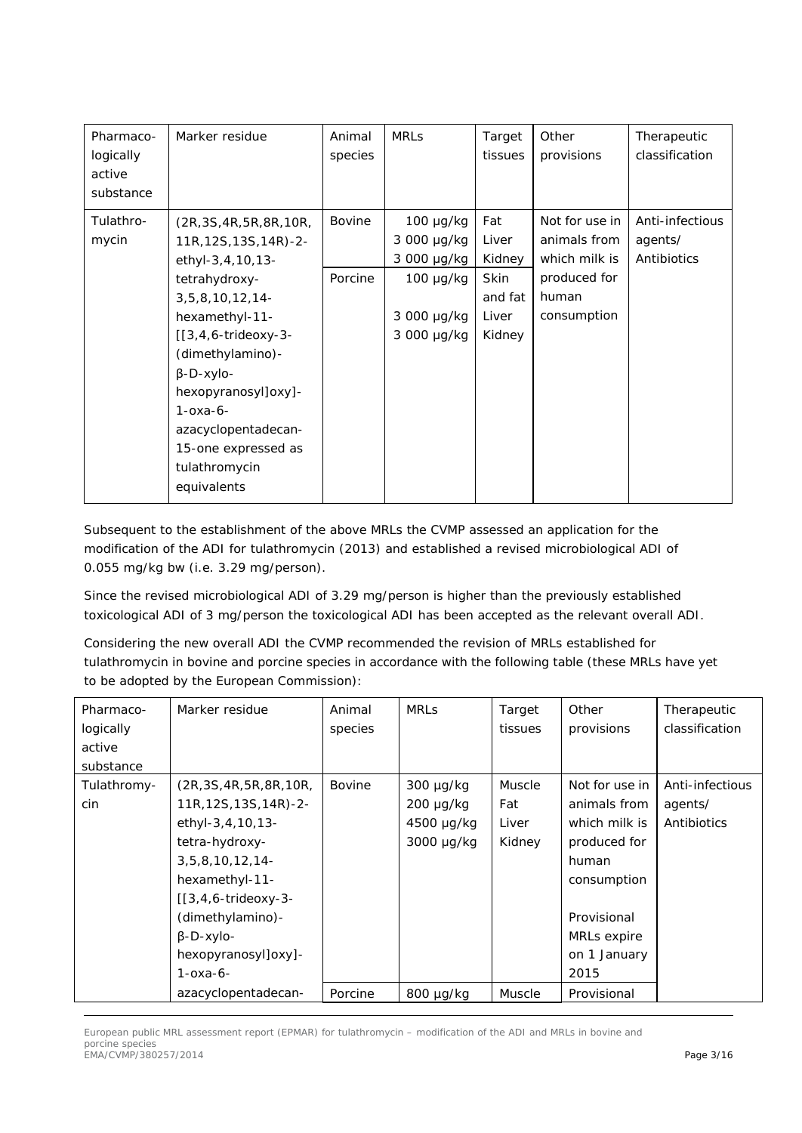| Pharmaco-<br>logically<br>active<br>substance | Marker residue                                                                                                                                                                                                                   | Animal<br>species | <b>MRLS</b>                                                    | Target<br>tissues              | Other<br>provisions                                             | Therapeutic<br>classification             |
|-----------------------------------------------|----------------------------------------------------------------------------------------------------------------------------------------------------------------------------------------------------------------------------------|-------------------|----------------------------------------------------------------|--------------------------------|-----------------------------------------------------------------|-------------------------------------------|
| Tulathro-<br>mycin                            | (2R, 3S, 4R, 5R, 8R, 10R,<br>11R, 12S, 13S, 14R)-2-<br>ethyl-3,4,10,13-<br>tetrahydroxy-                                                                                                                                         | Bovine<br>Porcine | $100 \mu g/kg$<br>3 000 µg/kg<br>3 000 µg/kg<br>$100 \mu g/kg$ | Fat<br>Liver<br>Kidney<br>Skin | Not for use in<br>animals from<br>which milk is<br>produced for | Anti-infectious<br>agents/<br>Antibiotics |
|                                               | $3, 5, 8, 10, 12, 14$ -<br>hexamethyl-11-<br>$[3,4,6-trideoxy-3-$<br>(dimethylamino)-<br>$\beta$ -D-xylo-<br>hexopyranosyl]oxy]-<br>$1 - 0x - 6 -$<br>azacyclopentadecan-<br>15-one expressed as<br>tulathromycin<br>equivalents |                   | 3 000 µg/kg<br>3 000 µg/kg                                     | and fat<br>Liver<br>Kidney     | human<br>consumption                                            |                                           |

Subsequent to the establishment of the above MRLs the CVMP assessed an application for the modification of the ADI for tulathromycin (2013) and established a revised microbiological ADI of 0.055 mg/kg bw (i.e. 3.29 mg/person).

Since the revised microbiological ADI of 3.29 mg/person is higher than the previously established toxicological ADI of 3 mg/person the toxicological ADI has been accepted as the relevant overall ADI.

Considering the new overall ADI the CVMP recommended the revision of MRLs established for tulathromycin in bovine and porcine species in accordance with the following table (these MRLs have yet to be adopted by the European Commission):

| Pharmaco-   | Marker residue            | Animal        | <b>MRLs</b> | Target  | Other          | Therapeutic     |
|-------------|---------------------------|---------------|-------------|---------|----------------|-----------------|
| logically   |                           | species       |             | tissues | provisions     | classification  |
| active      |                           |               |             |         |                |                 |
| substance   |                           |               |             |         |                |                 |
| Tulathromy- | (2R, 3S, 4R, 5R, 8R, 10R, | <b>Bovine</b> | 300 µg/kg   | Muscle  | Not for use in | Anti-infectious |
| cin         | 11R, 12S, 13S, 14R)-2-    |               | 200 µg/kg   | Fat     | animals from   | agents/         |
|             | ethyl-3,4,10,13-          |               | 4500 µg/kg  | Liver   | which milk is  | Antibiotics     |
|             | tetra-hydroxy-            |               | 3000 µg/kg  | Kidney  | produced for   |                 |
|             | 3,5,8,10,12,14            |               |             |         | human          |                 |
|             | hexamethyl-11-            |               |             |         | consumption    |                 |
|             | $[3,4,6-trideoxy-3-$      |               |             |         |                |                 |
|             | (dimethylamino)-          |               |             |         | Provisional    |                 |
|             | $\beta$ -D-xylo-          |               |             |         | MRLs expire    |                 |
|             | hexopyranosyl]oxy]-       |               |             |         | on 1 January   |                 |
|             | $1 - 0x - 6 -$            |               |             |         | 2015           |                 |
|             | azacyclopentadecan-       | Porcine       | 800 µg/kg   | Muscle  | Provisional    |                 |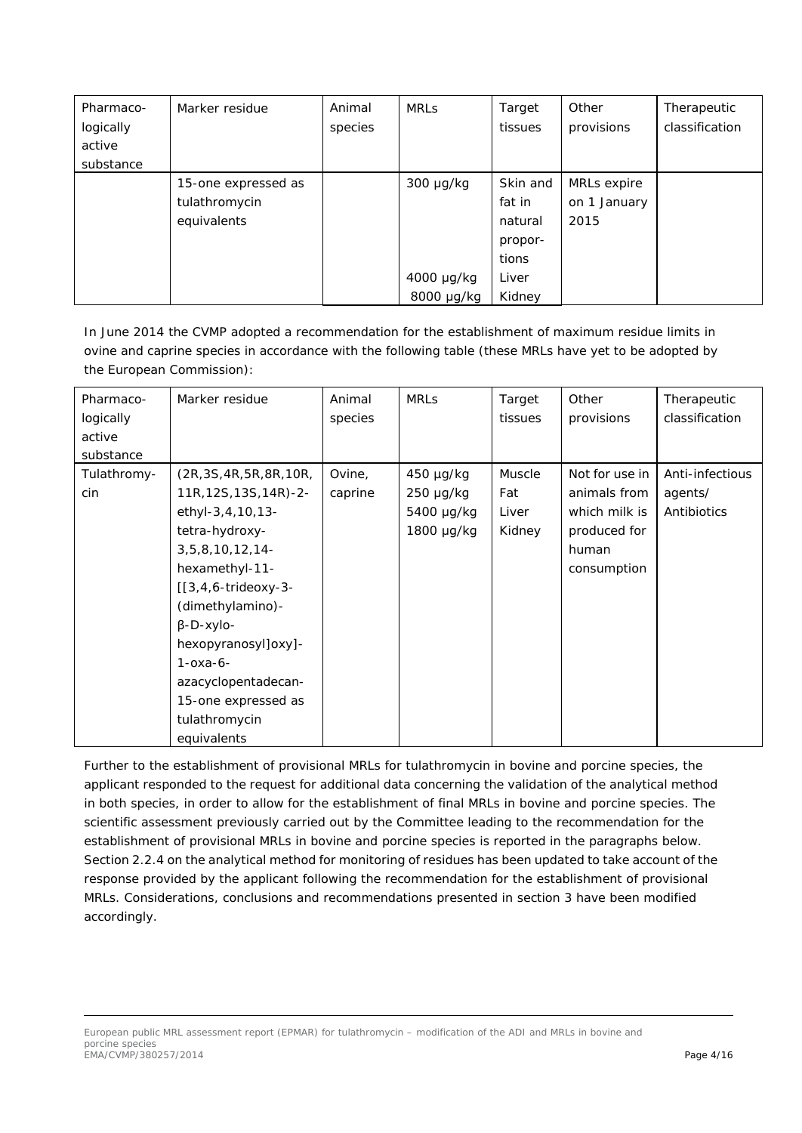| Pharmaco- | Marker residue      | Animal  | <b>MRLs</b> | Target   | Other        | Therapeutic    |
|-----------|---------------------|---------|-------------|----------|--------------|----------------|
| logically |                     | species |             | tissues  | provisions   | classification |
| active    |                     |         |             |          |              |                |
| substance |                     |         |             |          |              |                |
|           | 15-one expressed as |         | 300 µg/kg   | Skin and | MRLs expire  |                |
|           | tulathromycin       |         |             | fat in   | on 1 January |                |
|           | equivalents         |         |             | natural  | 2015         |                |
|           |                     |         |             | propor-  |              |                |
|           |                     |         |             | tions    |              |                |
|           |                     |         | 4000 µg/kg  | Liver    |              |                |
|           |                     |         | 8000 µg/kg  | Kidney   |              |                |

In June 2014 the CVMP adopted a recommendation for the establishment of maximum residue limits in ovine and caprine species in accordance with the following table (these MRLs have yet to be adopted by the European Commission):

| Pharmaco-   | Marker residue            | Animal  | <b>MRLS</b> | Target        | Other          | Therapeutic     |
|-------------|---------------------------|---------|-------------|---------------|----------------|-----------------|
| logically   |                           | species |             | tissues       | provisions     | classification  |
| active      |                           |         |             |               |                |                 |
| substance   |                           |         |             |               |                |                 |
| Tulathromy- | (2R, 3S, 4R, 5R, 8R, 10R, | Ovine,  | 450 µg/kg   | <b>Muscle</b> | Not for use in | Anti-infectious |
| cin         | 11R, 12S, 13S, 14R)-2-    | caprine | 250 µg/kg   | Fat           | animals from   | agents/         |
|             | ethyl-3,4,10,13-          |         | 5400 µg/kg  | Liver         | which milk is  | Antibiotics     |
|             | tetra-hydroxy-            |         | 1800 µg/kg  | Kidney        | produced for   |                 |
|             | 3, 5, 8, 10, 12, 14       |         |             |               | human          |                 |
|             | hexamethyl-11-            |         |             |               | consumption    |                 |
|             | $[3,4,6-trideoxy-3-$      |         |             |               |                |                 |
|             | (dimethylamino)-          |         |             |               |                |                 |
|             | $\beta$ -D-xylo-          |         |             |               |                |                 |
|             | hexopyranosyl]oxy]-       |         |             |               |                |                 |
|             | $1 - 0x - 6$              |         |             |               |                |                 |
|             | azacyclopentadecan-       |         |             |               |                |                 |
|             | 15-one expressed as       |         |             |               |                |                 |
|             | tulathromycin             |         |             |               |                |                 |
|             | equivalents               |         |             |               |                |                 |

Further to the establishment of provisional MRLs for tulathromycin in bovine and porcine species, the applicant responded to the request for additional data concerning the validation of the analytical method in both species, in order to allow for the establishment of final MRLs in bovine and porcine species. The scientific assessment previously carried out by the Committee leading to the recommendation for the establishment of provisional MRLs in bovine and porcine species is reported in the paragraphs below. Section 2.2.4 on the analytical method for monitoring of residues has been updated to take account of the response provided by the applicant following the recommendation for the establishment of provisional MRLs. Considerations, conclusions and recommendations presented in section 3 have been modified accordingly.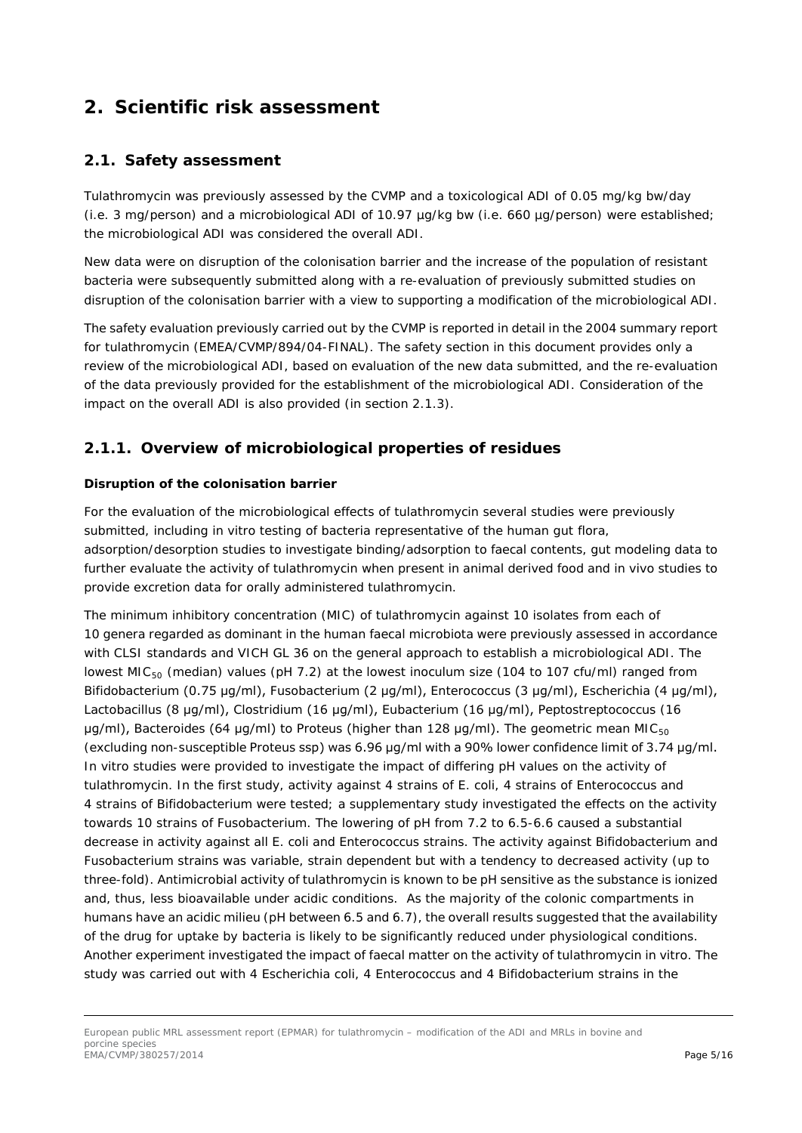# **2. Scientific risk assessment**

### *2.1. Safety assessment*

Tulathromycin was previously assessed by the CVMP and a toxicological ADI of 0.05 mg/kg bw/day (i.e. 3 mg/person) and a microbiological ADI of 10.97 µg/kg bw (i.e. 660 µg/person) were established; the microbiological ADI was considered the overall ADI.

New data were on disruption of the colonisation barrier and the increase of the population of resistant bacteria were subsequently submitted along with a re-evaluation of previously submitted studies on disruption of the colonisation barrier with a view to supporting a modification of the microbiological ADI.

The safety evaluation previously carried out by the CVMP is reported in detail in the 2004 summary report for tulathromycin (EMEA/CVMP/894/04-FINAL). The safety section in this document provides only a review of the microbiological ADI, based on evaluation of the new data submitted, and the re-evaluation of the data previously provided for the establishment of the microbiological ADI. Consideration of the impact on the overall ADI is also provided (in section 2.1.3).

## **2.1.1. Overview of microbiological properties of residues**

#### **Disruption of the colonisation barrier**

For the evaluation of the microbiological effects of tulathromycin several studies were previously submitted, including *in vitro* testing of bacteria representative of the human gut flora, adsorption/desorption studies to investigate binding/adsorption to faecal contents, gut modeling data to further evaluate the activity of tulathromycin when present in animal derived food and *in vivo* studies to provide excretion data for orally administered tulathromycin.

The minimum inhibitory concentration (MIC) of tulathromycin against 10 isolates from each of 10 genera regarded as dominant in the human faecal microbiota were previously assessed in accordance with CLSI standards and VICH GL 36 on the general approach to establish a microbiological ADI. The lowest MIC<sub>50</sub> (median) values (pH 7.2) at the lowest inoculum size (104 to 107 cfu/ml) ranged from *Bifidobacterium* (0.75 μg/ml), *Fusobacterium* (2 μg/ml), *Enterococcus* (3 μg/ml), *Escherichia* (4 μg/ml), *Lactobacillus* (8 μg/ml), *Clostridium* (16 μg/ml), *Eubacterium* (16 μg/ml), *Peptostreptococcus* (16 μg/ml), *Bacteroides* (64 μg/ml) to *Proteus* (higher than 128 μg/ml). The geometric mean MIC<sub>50</sub> (excluding non-susceptible *Proteus* ssp) was 6.96 μg/ml with a 90% lower confidence limit of 3.74 μg/ml. *In vitro* studies were provided to investigate the impact of differing pH values on the activity of tulathromycin. In the first study, activity against 4 strains of *E. coli*, 4 strains of *Enterococcus* and 4 strains of *Bifidobacterium* were tested; a supplementary study investigated the effects on the activity towards 10 strains of *Fusobacterium*. The lowering of pH from 7.2 to 6.5-6.6 caused a substantial decrease in activity against all *E. coli* and *Enterococcus* strains. The activity against *Bifidobacterium* and *Fusobacterium* strains was variable, strain dependent but with a tendency to decreased activity (up to three-fold). Antimicrobial activity of tulathromycin is known to be pH sensitive as the substance is ionized and, thus, less bioavailable under acidic conditions. As the majority of the colonic compartments in humans have an acidic milieu (pH between 6.5 and 6.7), the overall results suggested that the availability of the drug for uptake by bacteria is likely to be significantly reduced under physiological conditions. Another experiment investigated the impact of faecal matter on the activity of tulathromycin *in vitro*. The study was carried out with 4 *Escherichia coli*, 4 *Enterococcus* and 4 *Bifidobacterium* strains in the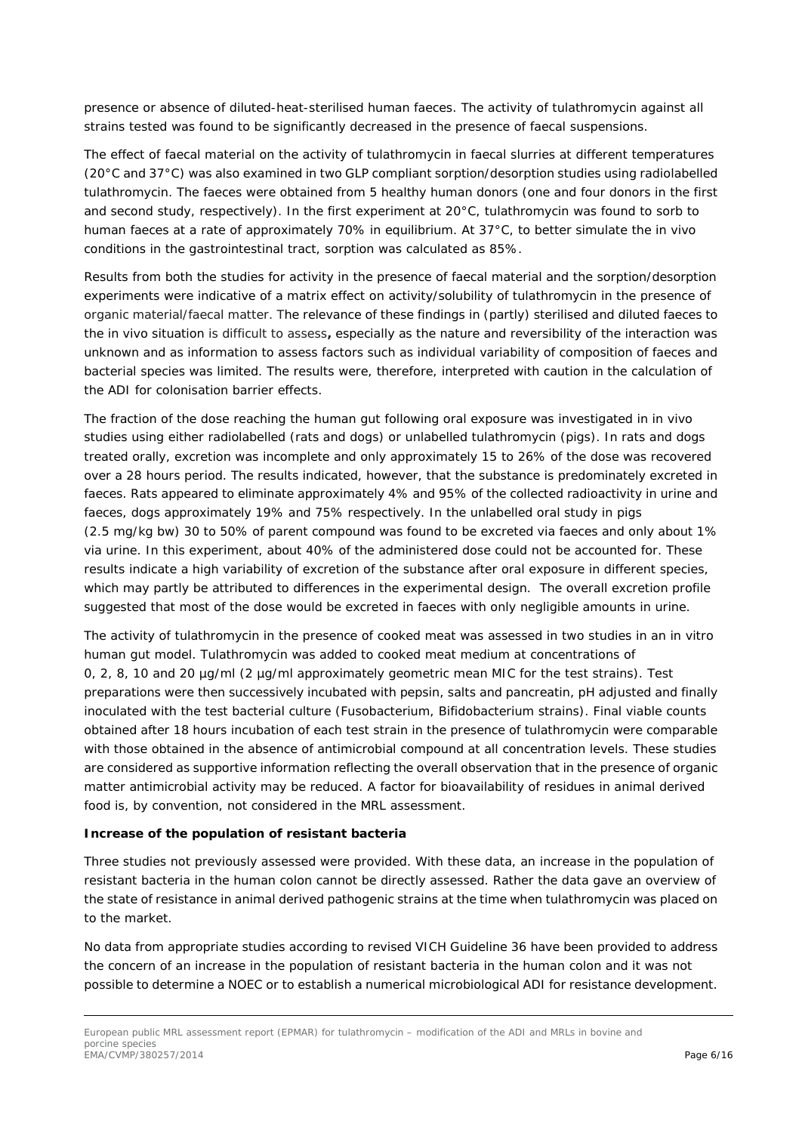presence or absence of diluted-heat-sterilised human faeces. The activity of tulathromycin against all strains tested was found to be significantly decreased in the presence of faecal suspensions.

The effect of faecal material on the activity of tulathromycin in faecal slurries at different temperatures (20°C and 37°C) was also examined in two GLP compliant sorption/desorption studies using radiolabelled tulathromycin. The faeces were obtained from 5 healthy human donors (one and four donors in the first and second study, respectively). In the first experiment at 20°C, tulathromycin was found to sorb to human faeces at a rate of approximately 70% in equilibrium. At 37°C, to better simulate the *in vivo* conditions in the gastrointestinal tract, sorption was calculated as 85%.

Results from both the studies for activity in the presence of faecal material and the sorption/desorption experiments were indicative of a matrix effect on activity/solubility of tulathromycin in the presence of organic material/faecal matter. The relevance of these findings in (partly) sterilised and diluted faeces to the *in vivo* situation is difficult to assess**,** especially as the nature and reversibility of the interaction was unknown and as information to assess factors such as individual variability of composition of faeces and bacterial species was limited. The results were, therefore, interpreted with caution in the calculation of the ADI for colonisation barrier effects.

The fraction of the dose reaching the human gut following oral exposure was investigated in *in vivo* studies using either radiolabelled (rats and dogs) or unlabelled tulathromycin (pigs). In rats and dogs treated orally, excretion was incomplete and only approximately 15 to 26% of the dose was recovered over a 28 hours period. The results indicated, however, that the substance is predominately excreted in faeces. Rats appeared to eliminate approximately 4% and 95% of the collected radioactivity in urine and faeces, dogs approximately 19% and 75% respectively. In the unlabelled oral study in pigs (2.5 mg/kg bw) 30 to 50% of parent compound was found to be excreted *via* faeces and only about 1% *via* urine. In this experiment, about 40% of the administered dose could not be accounted for. These results indicate a high variability of excretion of the substance after oral exposure in different species, which may partly be attributed to differences in the experimental design. The overall excretion profile suggested that most of the dose would be excreted in faeces with only negligible amounts in urine.

The activity of tulathromycin in the presence of cooked meat was assessed in two studies in an *in vitro* human gut model. Tulathromycin was added to cooked meat medium at concentrations of 0, 2, 8, 10 and 20 µg/ml (2 µg/ml approximately geometric mean MIC for the test strains). Test preparations were then successively incubated with pepsin, salts and pancreatin, pH adjusted and finally inoculated with the test bacterial culture (*Fusobacterium, Bifidobacterium* strains). Final viable counts obtained after 18 hours incubation of each test strain in the presence of tulathromycin were comparable with those obtained in the absence of antimicrobial compound at all concentration levels. These studies are considered as supportive information reflecting the overall observation that in the presence of organic matter antimicrobial activity may be reduced. A factor for bioavailability of residues in animal derived food is, by convention, not considered in the MRL assessment.

#### **Increase of the population of resistant bacteria**

Three studies not previously assessed were provided. With these data, an increase in the population of resistant bacteria in the human colon cannot be directly assessed. Rather the data gave an overview of the state of resistance in animal derived pathogenic strains at the time when tulathromycin was placed on to the market.

No data from appropriate studies according to revised VICH Guideline 36 have been provided to address the concern of an increase in the population of resistant bacteria in the human colon and it was not possible to determine a NOEC or to establish a numerical microbiological ADI for resistance development.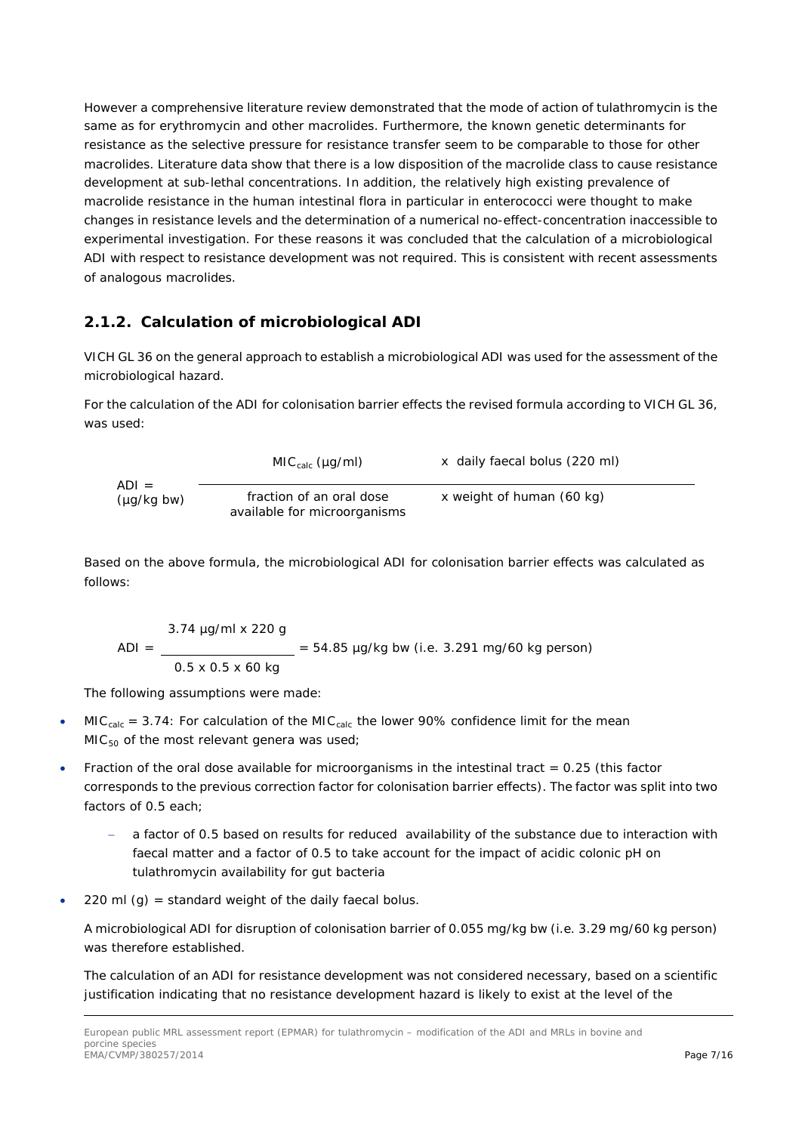However a comprehensive literature review demonstrated that the mode of action of tulathromycin is the same as for erythromycin and other macrolides. Furthermore, the known genetic determinants for resistance as the selective pressure for resistance transfer seem to be comparable to those for other macrolides. Literature data show that there is a low disposition of the macrolide class to cause resistance development at sub-lethal concentrations. In addition, the relatively high existing prevalence of macrolide resistance in the human intestinal flora in particular in enterococci were thought to make changes in resistance levels and the determination of a numerical no-effect-concentration inaccessible to experimental investigation. For these reasons it was concluded that the calculation of a microbiological ADI with respect to resistance development was not required. This is consistent with recent assessments of analogous macrolides.

# **2.1.2. Calculation of microbiological ADI**

VICH GL 36 on the general approach to establish a microbiological ADI was used for the assessment of the microbiological hazard.

For the calculation of the ADI for colonisation barrier effects the revised formula according to VICH GL 36, was used:

$$
MICcalc (µg/ml) \times daily faccal bolus (220 ml)
$$
\n
$$
(µg/kg bw) \qquad \qquad fraction of an oral dose \qquad x weight of human (60 kg) \qquad available for microorganisms
$$

Based on the above formula, the microbiological ADI for colonisation barrier effects was calculated as follows:

$$
ADI = \frac{3.74 \text{ µg/ml} \times 220 \text{ g}}{0.5 \times 0.5 \times 60 \text{ kg}} = 54.85 \text{ µg/kg bw (i.e. 3.291 mg/60 kg person)}
$$

The following assumptions were made:

- MIC<sub>calc</sub> = 3.74: For calculation of the MIC<sub>calc</sub> the lower 90% confidence limit for the mean  $MIC<sub>50</sub>$  of the most relevant genera was used;
- Fraction of the oral dose available for microorganisms in the intestinal tract  $= 0.25$  (this factor corresponds to the previous correction factor for colonisation barrier effects). The factor was split into two factors of 0.5 each;
	- a factor of 0.5 based on results for reduced availability of the substance due to interaction with faecal matter and a factor of 0.5 to take account for the impact of acidic colonic pH on tulathromycin availability for gut bacteria
- 220 ml  $(g)$  = standard weight of the daily faecal bolus.

A microbiological ADI for disruption of colonisation barrier of 0.055 mg/kg bw (i.e. 3.29 mg/60 kg person) was therefore established.

The calculation of an ADI for resistance development was not considered necessary, based on a scientific justification indicating that no resistance development hazard is likely to exist at the level of the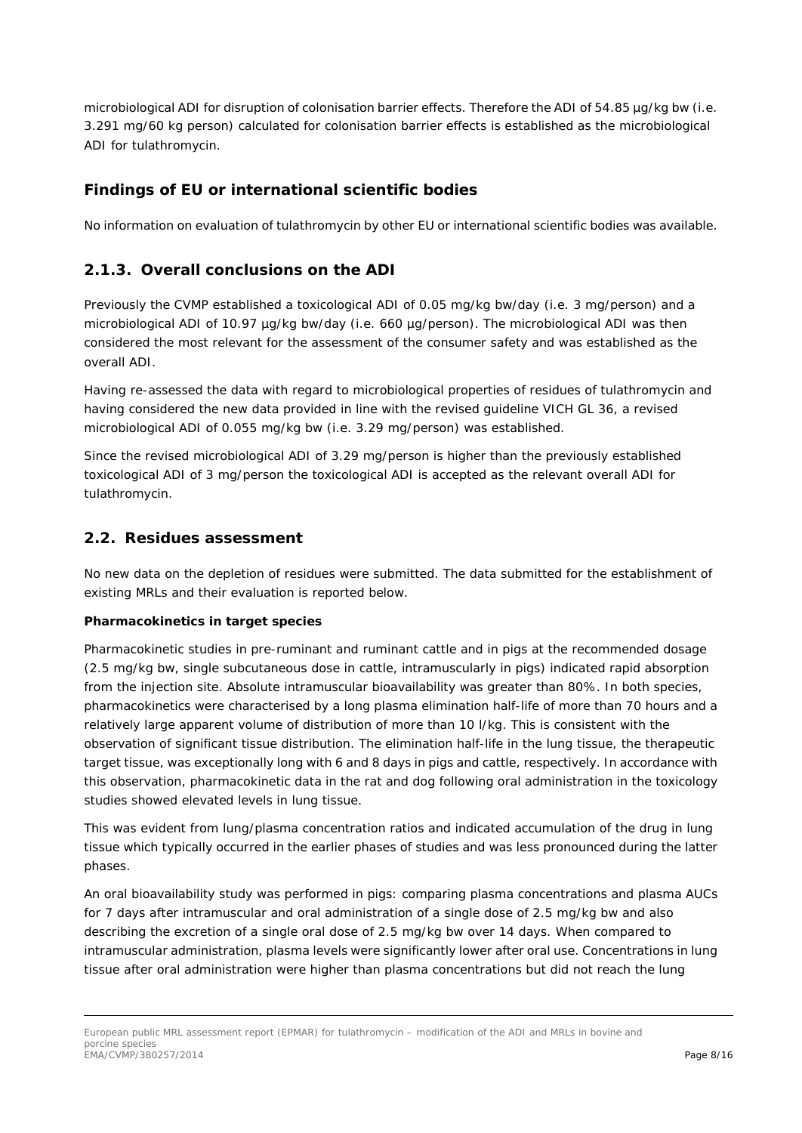microbiological ADI for disruption of colonisation barrier effects. Therefore the ADI of 54.85 µg/kg bw (i.e. 3.291 mg/60 kg person) calculated for colonisation barrier effects is established as the microbiological ADI for tulathromycin.

## *Findings of EU or international scientific bodies*

No information on evaluation of tulathromycin by other EU or international scientific bodies was available.

### **2.1.3. Overall conclusions on the ADI**

Previously the CVMP established a toxicological ADI of 0.05 mg/kg bw/day (i.e. 3 mg/person) and a microbiological ADI of 10.97 µg/kg bw/day (i.e. 660 µg/person). The microbiological ADI was then considered the most relevant for the assessment of the consumer safety and was established as the overall ADI.

Having re-assessed the data with regard to microbiological properties of residues of tulathromycin and having considered the new data provided in line with the revised guideline VICH GL 36, a revised microbiological ADI of 0.055 mg/kg bw (i.e. 3.29 mg/person) was established.

Since the revised microbiological ADI of 3.29 mg/person is higher than the previously established toxicological ADI of 3 mg/person the toxicological ADI is accepted as the relevant overall ADI for tulathromycin.

#### *2.2. Residues assessment*

No new data on the depletion of residues were submitted. The data submitted for the establishment of existing MRLs and their evaluation is reported below.

#### **Pharmacokinetics in target species**

Pharmacokinetic studies in pre-ruminant and ruminant cattle and in pigs at the recommended dosage (2.5 mg/kg bw, single subcutaneous dose in cattle, intramuscularly in pigs) indicated rapid absorption from the injection site. Absolute intramuscular bioavailability was greater than 80%. In both species, pharmacokinetics were characterised by a long plasma elimination half-life of more than 70 hours and a relatively large apparent volume of distribution of more than 10 l/kg. This is consistent with the observation of significant tissue distribution. The elimination half-life in the lung tissue, the therapeutic target tissue, was exceptionally long with 6 and 8 days in pigs and cattle, respectively. In accordance with this observation, pharmacokinetic data in the rat and dog following oral administration in the toxicology studies showed elevated levels in lung tissue.

This was evident from lung/plasma concentration ratios and indicated accumulation of the drug in lung tissue which typically occurred in the earlier phases of studies and was less pronounced during the latter phases.

An oral bioavailability study was performed in pigs: comparing plasma concentrations and plasma AUCs for 7 days after intramuscular and oral administration of a single dose of 2.5 mg/kg bw and also describing the excretion of a single oral dose of 2.5 mg/kg bw over 14 days. When compared to intramuscular administration, plasma levels were significantly lower after oral use. Concentrations in lung tissue after oral administration were higher than plasma concentrations but did not reach the lung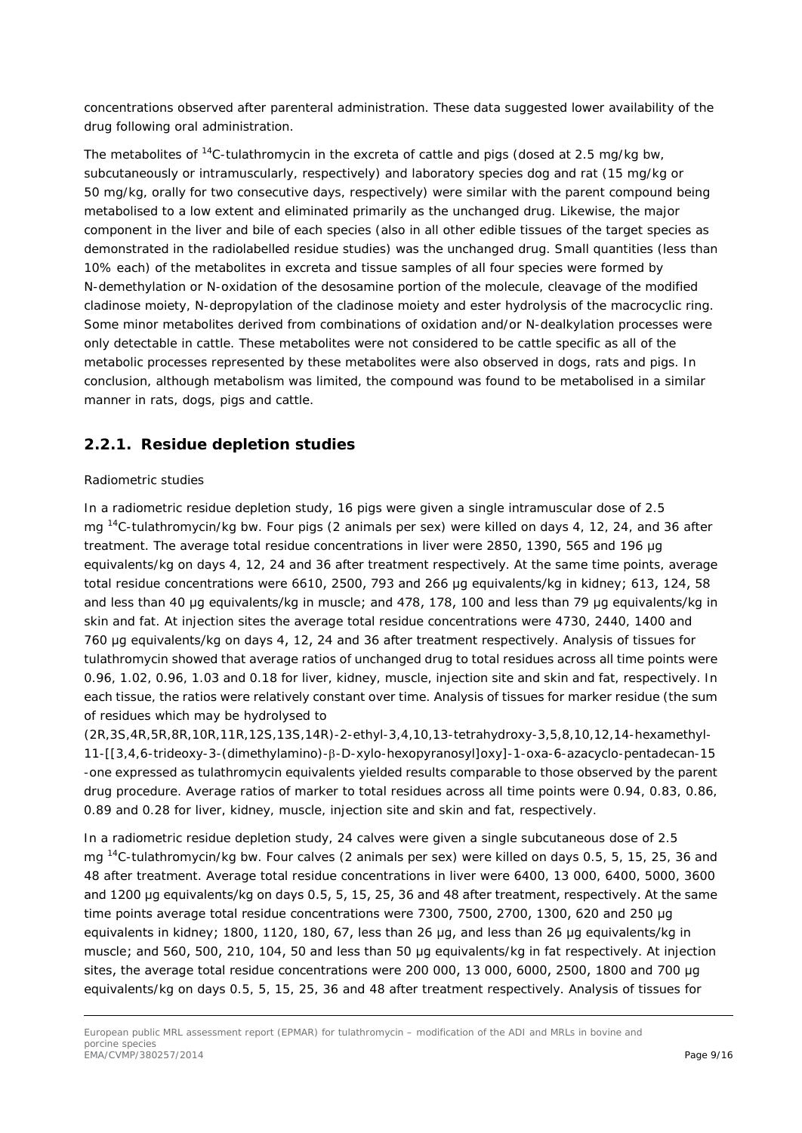concentrations observed after parenteral administration. These data suggested lower availability of the drug following oral administration.

The metabolites of  $14C$ -tulathromycin in the excreta of cattle and pigs (dosed at 2.5 mg/kg bw, subcutaneously or intramuscularly, respectively) and laboratory species dog and rat (15 mg/kg or 50 mg/kg, orally for two consecutive days, respectively) were similar with the parent compound being metabolised to a low extent and eliminated primarily as the unchanged drug. Likewise, the major component in the liver and bile of each species (also in all other edible tissues of the target species as demonstrated in the radiolabelled residue studies) was the unchanged drug. Small quantities (less than 10% each) of the metabolites in excreta and tissue samples of all four species were formed by N-demethylation or N-oxidation of the desosamine portion of the molecule, cleavage of the modified cladinose moiety, N-depropylation of the cladinose moiety and ester hydrolysis of the macrocyclic ring. Some minor metabolites derived from combinations of oxidation and/or N-dealkylation processes were only detectable in cattle. These metabolites were not considered to be cattle specific as all of the metabolic processes represented by these metabolites were also observed in dogs, rats and pigs. In conclusion, although metabolism was limited, the compound was found to be metabolised in a similar manner in rats, dogs, pigs and cattle.

### **2.2.1. Residue depletion studies**

#### Radiometric studies

In a radiometric residue depletion study, 16 pigs were given a single intramuscular dose of 2.5 mg 14C-tulathromycin/kg bw. Four pigs (2 animals per sex) were killed on days 4, 12, 24, and 36 after treatment. The average total residue concentrations in liver were 2850, 1390, 565 and 196 μg equivalents/kg on days 4, 12, 24 and 36 after treatment respectively. At the same time points, average total residue concentrations were 6610, 2500, 793 and 266 μg equivalents/kg in kidney; 613, 124, 58 and less than 40 μg equivalents/kg in muscle; and 478, 178, 100 and less than 79 μg equivalents/kg in skin and fat. At injection sites the average total residue concentrations were 4730, 2440, 1400 and 760 μg equivalents/kg on days 4, 12, 24 and 36 after treatment respectively. Analysis of tissues for tulathromycin showed that average ratios of unchanged drug to total residues across all time points were 0.96, 1.02, 0.96, 1.03 and 0.18 for liver, kidney, muscle, injection site and skin and fat, respectively. In each tissue, the ratios were relatively constant over time. Analysis of tissues for marker residue (the sum of residues which may be hydrolysed to

(2R,3S,4R,5R,8R,10R,11R,12S,13S,14R)-2-ethyl-3,4,10,13-tetrahydroxy-3,5,8,10,12,14-hexamethyl-11-[[3,4,6-trideoxy-3-(dimethylamino)-β-D-xylo-hexopyranosyl]oxy]-1-oxa-6-azacyclo-pentadecan-15 -one expressed as tulathromycin equivalents yielded results comparable to those observed by the parent drug procedure. Average ratios of marker to total residues across all time points were 0.94, 0.83, 0.86, 0.89 and 0.28 for liver, kidney, muscle, injection site and skin and fat, respectively.

In a radiometric residue depletion study, 24 calves were given a single subcutaneous dose of 2.5 mg 14C-tulathromycin/kg bw. Four calves (2 animals per sex) were killed on days 0.5, 5, 15, 25, 36 and 48 after treatment. Average total residue concentrations in liver were 6400, 13 000, 6400, 5000, 3600 and 1200 μg equivalents/kg on days 0.5, 5, 15, 25, 36 and 48 after treatment, respectively. At the same time points average total residue concentrations were 7300, 7500, 2700, 1300, 620 and 250 μg equivalents in kidney; 1800, 1120, 180, 67, less than 26 μg, and less than 26 μg equivalents/kg in muscle; and 560, 500, 210, 104, 50 and less than 50 μg equivalents/kg in fat respectively. At injection sites, the average total residue concentrations were 200 000, 13 000, 6000, 2500, 1800 and 700 μg equivalents/kg on days 0.5, 5, 15, 25, 36 and 48 after treatment respectively. Analysis of tissues for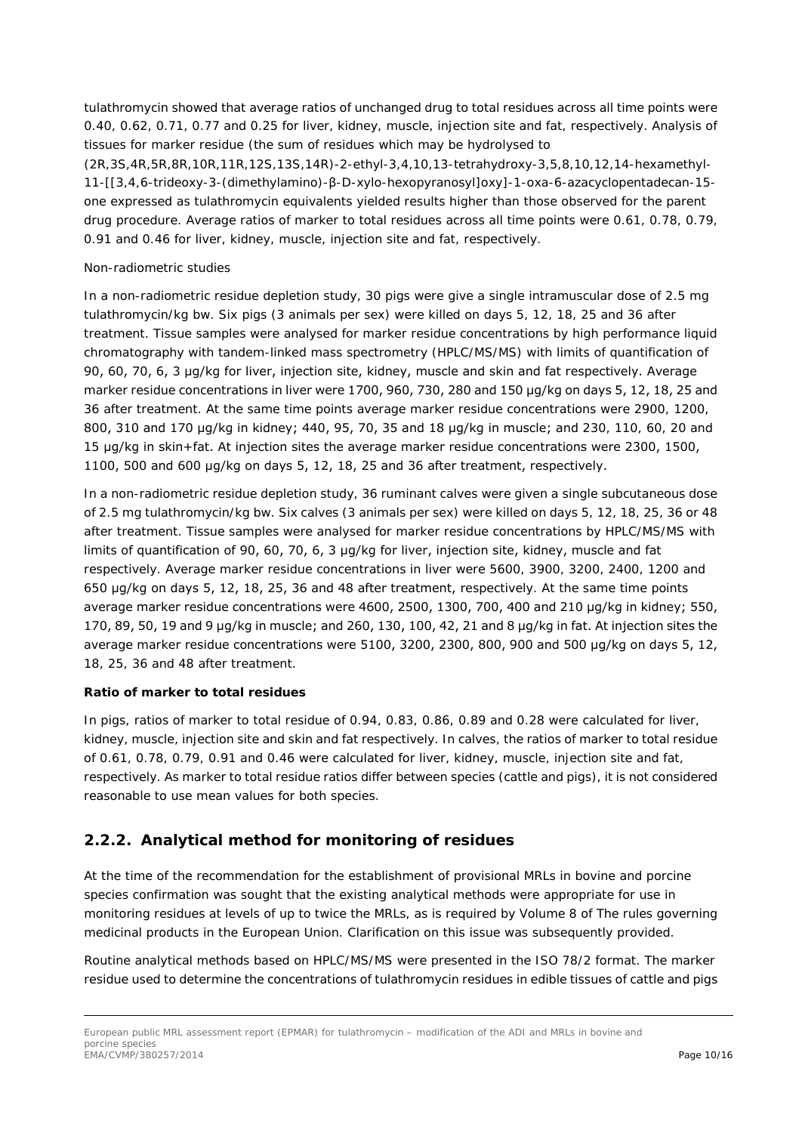tulathromycin showed that average ratios of unchanged drug to total residues across all time points were 0.40, 0.62, 0.71, 0.77 and 0.25 for liver, kidney, muscle, injection site and fat, respectively. Analysis of tissues for marker residue (the sum of residues which may be hydrolysed to (2R,3S,4R,5R,8R,10R,11R,12S,13S,14R)-2-ethyl-3,4,10,13-tetrahydroxy-3,5,8,10,12,14-hexamethyl-11-[[3,4,6-trideoxy-3-(dimethylamino)-β-D-xylo-hexopyranosyl]oxy]-1-oxa-6-azacyclopentadecan-15 one expressed as tulathromycin equivalents yielded results higher than those observed for the parent drug procedure. Average ratios of marker to total residues across all time points were 0.61, 0.78, 0.79, 0.91 and 0.46 for liver, kidney, muscle, injection site and fat, respectively.

#### Non-radiometric studies

In a non-radiometric residue depletion study, 30 pigs were give a single intramuscular dose of 2.5 mg tulathromycin/kg bw. Six pigs (3 animals per sex) were killed on days 5, 12, 18, 25 and 36 after treatment. Tissue samples were analysed for marker residue concentrations by high performance liquid chromatography with tandem-linked mass spectrometry (HPLC/MS/MS) with limits of quantification of 90, 60, 70, 6, 3 μg/kg for liver, injection site, kidney, muscle and skin and fat respectively. Average marker residue concentrations in liver were 1700, 960, 730, 280 and 150 µg/kg on days 5, 12, 18, 25 and 36 after treatment. At the same time points average marker residue concentrations were 2900, 1200, 800, 310 and 170 μg/kg in kidney; 440, 95, 70, 35 and 18 μg/kg in muscle; and 230, 110, 60, 20 and 15 μg/kg in skin+fat. At injection sites the average marker residue concentrations were 2300, 1500, 1100, 500 and 600 μg/kg on days 5, 12, 18, 25 and 36 after treatment, respectively.

In a non-radiometric residue depletion study, 36 ruminant calves were given a single subcutaneous dose of 2.5 mg tulathromycin/kg bw. Six calves (3 animals per sex) were killed on days 5, 12, 18, 25, 36 or 48 after treatment. Tissue samples were analysed for marker residue concentrations by HPLC/MS/MS with limits of quantification of 90, 60, 70, 6, 3 μg/kg for liver, injection site, kidney, muscle and fat respectively. Average marker residue concentrations in liver were 5600, 3900, 3200, 2400, 1200 and 650 μg/kg on days 5, 12, 18, 25, 36 and 48 after treatment, respectively. At the same time points average marker residue concentrations were 4600, 2500, 1300, 700, 400 and 210 μg/kg in kidney; 550, 170, 89, 50, 19 and 9 μg/kg in muscle; and 260, 130, 100, 42, 21 and 8 μg/kg in fat. At injection sites the average marker residue concentrations were 5100, 3200, 2300, 800, 900 and 500 μg/kg on days 5, 12, 18, 25, 36 and 48 after treatment.

#### **Ratio of marker to total residues**

In pigs, ratios of marker to total residue of 0.94, 0.83, 0.86, 0.89 and 0.28 were calculated for liver, kidney, muscle, injection site and skin and fat respectively. In calves, the ratios of marker to total residue of 0.61, 0.78, 0.79, 0.91 and 0.46 were calculated for liver, kidney, muscle, injection site and fat, respectively. As marker to total residue ratios differ between species (cattle and pigs), it is not considered reasonable to use mean values for both species.

# **2.2.2. Analytical method for monitoring of residues**

At the time of the recommendation for the establishment of provisional MRLs in bovine and porcine species confirmation was sought that the existing analytical methods were appropriate for use in monitoring residues at levels of up to twice the MRLs, as is required by Volume 8 of The rules governing medicinal products in the European Union. Clarification on this issue was subsequently provided.

Routine analytical methods based on HPLC/MS/MS were presented in the ISO 78/2 format. The marker residue used to determine the concentrations of tulathromycin residues in edible tissues of cattle and pigs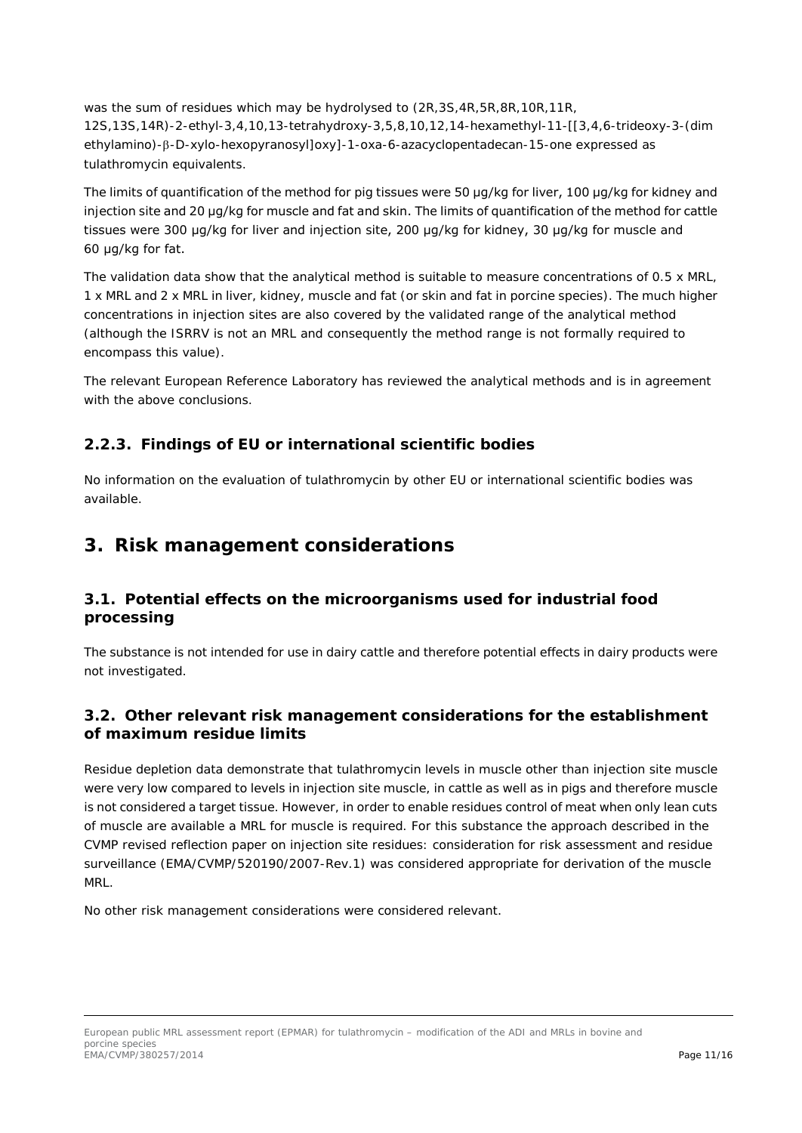was the sum of residues which may be hydrolysed to (2R,3S,4R,5R,8R,10R,11R, 12S,13S,14R)-2-ethyl-3,4,10,13-tetrahydroxy-3,5,8,10,12,14-hexamethyl-11-[[3,4,6-trideoxy-3-(dim ethylamino)-β-D-xylo-hexopyranosyl]oxy]-1-oxa-6-azacyclopentadecan-15-one expressed as tulathromycin equivalents.

The limits of quantification of the method for pig tissues were 50 μg/kg for liver, 100 μg/kg for kidney and injection site and 20 μg/kg for muscle and fat and skin. The limits of quantification of the method for cattle tissues were 300 μg/kg for liver and injection site, 200 μg/kg for kidney, 30 μg/kg for muscle and 60 μg/kg for fat.

The validation data show that the analytical method is suitable to measure concentrations of 0.5 x MRL, 1 x MRL and 2 x MRL in liver, kidney, muscle and fat (or skin and fat in porcine species). The much higher concentrations in injection sites are also covered by the validated range of the analytical method (although the ISRRV is not an MRL and consequently the method range is not formally required to encompass this value).

The relevant European Reference Laboratory has reviewed the analytical methods and is in agreement with the above conclusions.

## **2.2.3. Findings of EU or international scientific bodies**

No information on the evaluation of tulathromycin by other EU or international scientific bodies was available.

# **3. Risk management considerations**

## *3.1. Potential effects on the microorganisms used for industrial food processing*

The substance is not intended for use in dairy cattle and therefore potential effects in dairy products were not investigated.

## *3.2. Other relevant risk management considerations for the establishment of maximum residue limits*

Residue depletion data demonstrate that tulathromycin levels in muscle other than injection site muscle were very low compared to levels in injection site muscle, in cattle as well as in pigs and therefore muscle is not considered a target tissue. However, in order to enable residues control of meat when only lean cuts of muscle are available a MRL for muscle is required. For this substance the approach described in the CVMP revised reflection paper on injection site residues: consideration for risk assessment and residue surveillance (EMA/CVMP/520190/2007-Rev.1) was considered appropriate for derivation of the muscle MRL.

No other risk management considerations were considered relevant.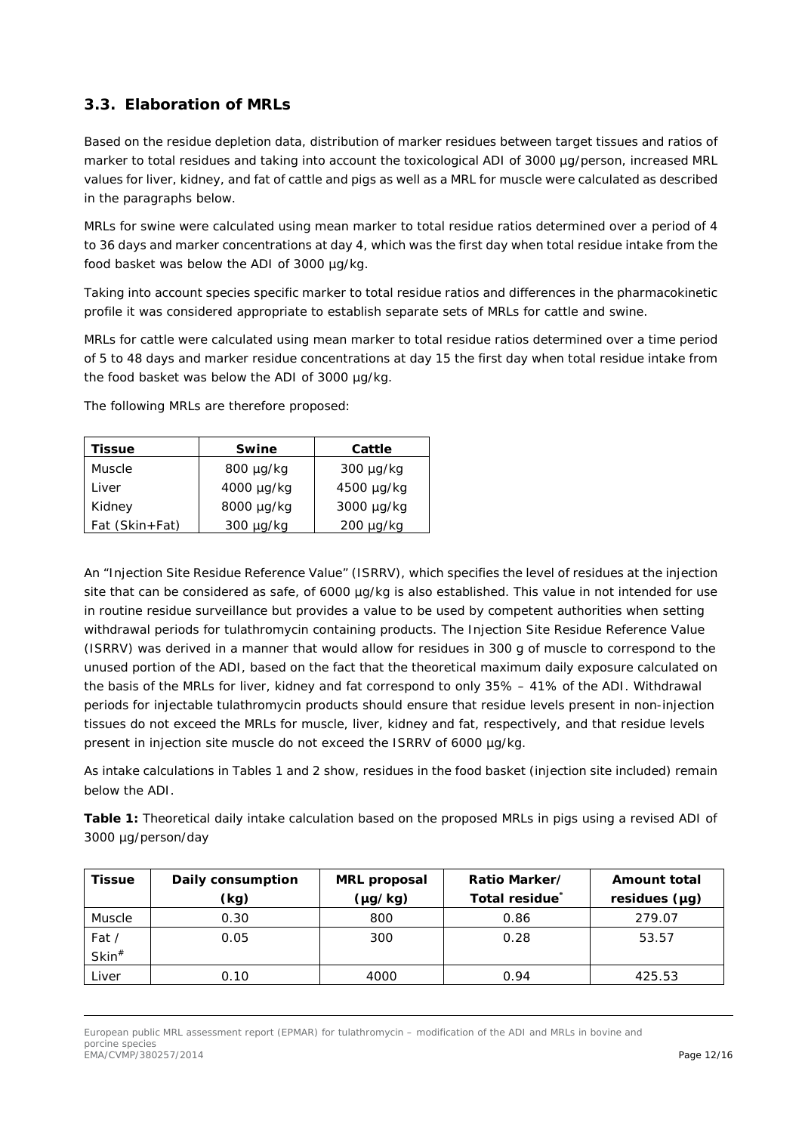# *3.3. Elaboration of MRLs*

Based on the residue depletion data, distribution of marker residues between target tissues and ratios of marker to total residues and taking into account the toxicological ADI of 3000 µg/person, increased MRL values for liver, kidney, and fat of cattle and pigs as well as a MRL for muscle were calculated as described in the paragraphs below.

MRLs for swine were calculated using mean marker to total residue ratios determined over a period of 4 to 36 days and marker concentrations at day 4, which was the first day when total residue intake from the food basket was below the ADI of 3000 µg/kg.

Taking into account species specific marker to total residue ratios and differences in the pharmacokinetic profile it was considered appropriate to establish separate sets of MRLs for cattle and swine.

MRLs for cattle were calculated using mean marker to total residue ratios determined over a time period of 5 to 48 days and marker residue concentrations at day 15 the first day when total residue intake from the food basket was below the ADI of 3000 µg/kg.

The following MRLs are therefore proposed:

| Tissue         | <b>Swine</b>   | Cattle         |
|----------------|----------------|----------------|
| Muscle         | 800 µg/kg      | $300 \mu g/kg$ |
| Liver          | 4000 µg/kg     | 4500 µg/kg     |
| Kidney         | 8000 µg/kg     | 3000 µg/kg     |
| Fat (Skin+Fat) | $300 \mu q/kg$ | $200 \mu q/kg$ |

An "Injection Site Residue Reference Value" (ISRRV), which specifies the level of residues at the injection site that can be considered as safe, of 6000 µg/kg is also established. This value in not intended for use in routine residue surveillance but provides a value to be used by competent authorities when setting withdrawal periods for tulathromycin containing products. The Injection Site Residue Reference Value (ISRRV) was derived in a manner that would allow for residues in 300 g of muscle to correspond to the unused portion of the ADI, based on the fact that the theoretical maximum daily exposure calculated on the basis of the MRLs for liver, kidney and fat correspond to only 35% – 41% of the ADI. Withdrawal periods for injectable tulathromycin products should ensure that residue levels present in non-injection tissues do not exceed the MRLs for muscle, liver, kidney and fat, respectively, and that residue levels present in injection site muscle do not exceed the ISRRV of 6000 µg/kg.

As intake calculations in Tables 1 and 2 show, residues in the food basket (injection site included) remain below the ADI.

**Table 1:** Theoretical daily intake calculation based on the proposed MRLs in pigs using a revised ADI of 3000 µg/person/day

| <b>Tissue</b>        | Daily consumption | <b>MRL</b> proposal | Ratio Marker/  | <b>Amount total</b> |
|----------------------|-------------------|---------------------|----------------|---------------------|
|                      | (kg)              | (µg/kg)             | Total residue® | residues $(\mu g)$  |
| Muscle               | 0.30              | 800                 | 0.86           | 279.07              |
| Fat /                | 0.05              | 300                 | 0.28           | 53.57               |
| $\mathsf{Skin}^{\#}$ |                   |                     |                |                     |
| Liver                | 0.10              | 4000                | 0.94           | 425.53              |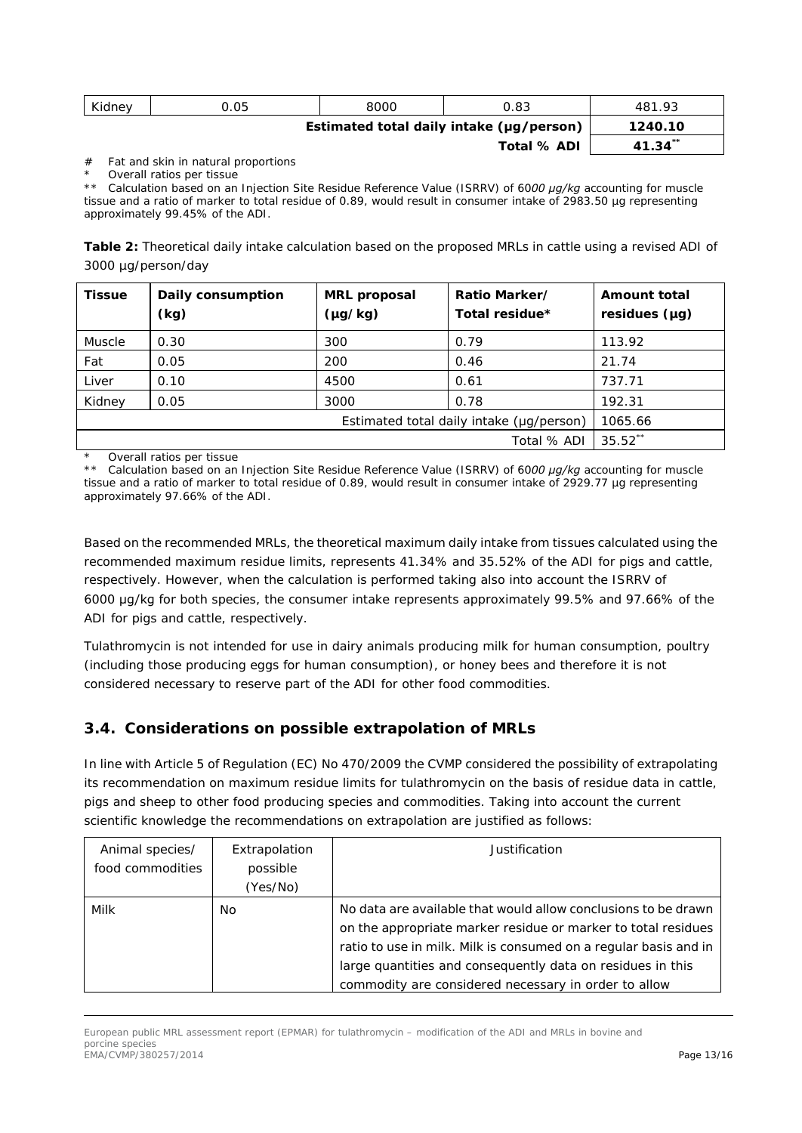| Kidney | 0.05 | 8000 | ን.83                                     | 481.93       |
|--------|------|------|------------------------------------------|--------------|
|        |      |      | Estimated total daily intake (µg/person) | 1240.10      |
|        |      |      | <b>Total % ADI</b>                       | $41.34^{**}$ |

*# Fat and skin in natural proportions*

*\* Overall ratios per tissue*

*\*\* Calculation based on an Injection Site Residue Reference Value (ISRRV) of 6000 μg/kg accounting for muscle tissue and a ratio of marker to total residue of 0.89, would result in consumer intake of 2983.50 µg representing approximately 99.45% of the ADI.*

**Table 2:** Theoretical daily intake calculation based on the proposed MRLs in cattle using a revised ADI of 3000 µg/person/day

| <b>Tissue</b> | Daily consumption<br>(kg) | <b>MRL</b> proposal<br>$(\mu g / kg)$ | Ratio Marker/<br>Total residue* | <b>Amount total</b><br>residues $(\mu g)$ |
|---------------|---------------------------|---------------------------------------|---------------------------------|-------------------------------------------|
| Muscle        | 0.30                      | 300                                   | 0.79                            | 113.92                                    |
| Fat           | 0.05                      | 200                                   | 0.46                            | 21.74                                     |
| Liver         | 0.10                      | 4500                                  | 0.61                            | 737.71                                    |
| Kidney        | 0.05                      | 3000                                  | 0.78                            | 192.31                                    |
|               | 1065.66                   |                                       |                                 |                                           |
|               |                           |                                       | Total % ADI                     | $35.52***$                                |

*\* Overall ratios per tissue*

*\*\* Calculation based on an Injection Site Residue Reference Value (ISRRV) of 6000 μg/kg accounting for muscle tissue and a ratio of marker to total residue of 0.89, would result in consumer intake of 2929.77 µg representing approximately 97.66% of the ADI.*

Based on the recommended MRLs, the theoretical maximum daily intake from tissues calculated using the recommended maximum residue limits, represents 41.34% and 35.52% of the ADI for pigs and cattle, respectively. However, when the calculation is performed taking also into account the ISRRV of 6000 μg/kg for both species, the consumer intake represents approximately 99.5% and 97.66% of the ADI for pigs and cattle, respectively.

Tulathromycin is not intended for use in dairy animals producing milk for human consumption, poultry (including those producing eggs for human consumption), or honey bees and therefore it is not considered necessary to reserve part of the ADI for other food commodities.

## *3.4. Considerations on possible extrapolation of MRLs*

In line with Article 5 of Regulation (EC) No 470/2009 the CVMP considered the possibility of extrapolating its recommendation on maximum residue limits for tulathromycin on the basis of residue data in cattle, pigs and sheep to other food producing species and commodities. Taking into account the current scientific knowledge the recommendations on extrapolation are justified as follows:

| Animal species/  | Extrapolation | Justification                                                                                                                                                                                                                                                                                                             |
|------------------|---------------|---------------------------------------------------------------------------------------------------------------------------------------------------------------------------------------------------------------------------------------------------------------------------------------------------------------------------|
| food commodities | possible      |                                                                                                                                                                                                                                                                                                                           |
|                  | (Yes/No)      |                                                                                                                                                                                                                                                                                                                           |
| Milk             | No            | No data are available that would allow conclusions to be drawn<br>on the appropriate marker residue or marker to total residues<br>ratio to use in milk. Milk is consumed on a regular basis and in<br>large quantities and consequently data on residues in this<br>commodity are considered necessary in order to allow |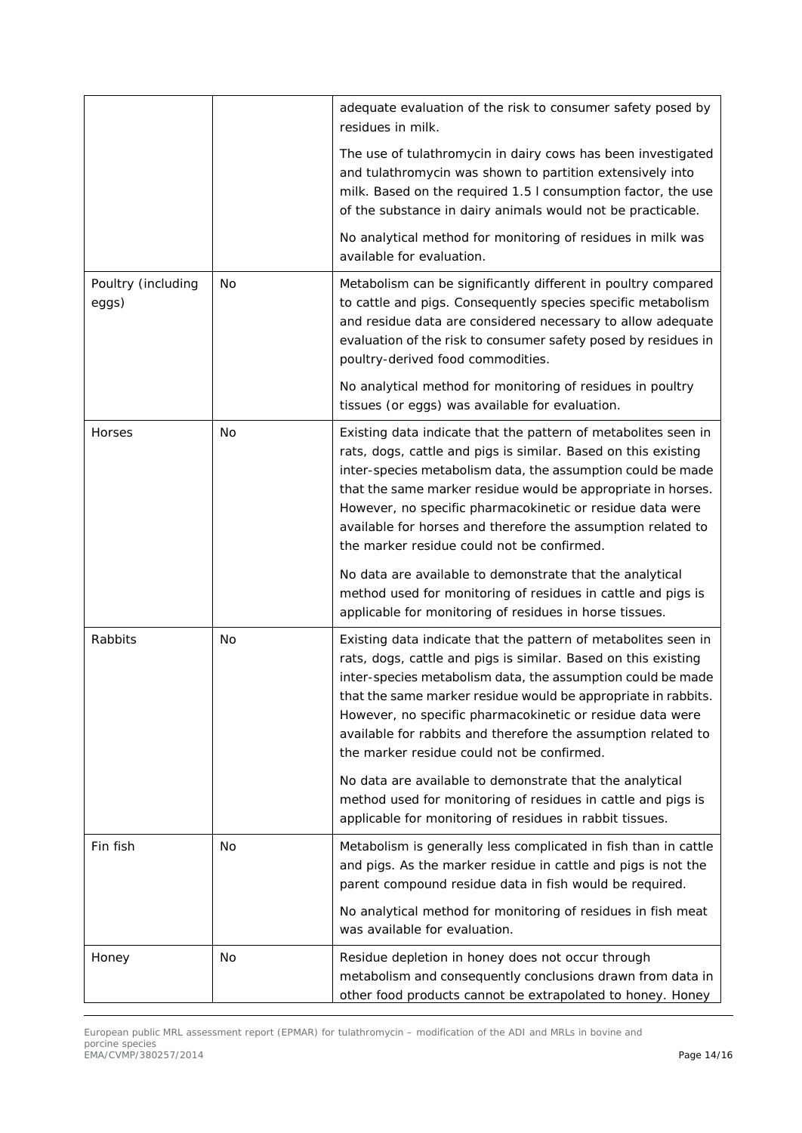|                             |           | adequate evaluation of the risk to consumer safety posed by<br>residues in milk.                                                                                                                                                                                                                                                                                                                                                             |
|-----------------------------|-----------|----------------------------------------------------------------------------------------------------------------------------------------------------------------------------------------------------------------------------------------------------------------------------------------------------------------------------------------------------------------------------------------------------------------------------------------------|
|                             |           | The use of tulathromycin in dairy cows has been investigated<br>and tulathromycin was shown to partition extensively into<br>milk. Based on the required 1.5 I consumption factor, the use<br>of the substance in dairy animals would not be practicable.                                                                                                                                                                                    |
|                             |           | No analytical method for monitoring of residues in milk was<br>available for evaluation.                                                                                                                                                                                                                                                                                                                                                     |
| Poultry (including<br>eggs) | <b>No</b> | Metabolism can be significantly different in poultry compared<br>to cattle and pigs. Consequently species specific metabolism<br>and residue data are considered necessary to allow adequate<br>evaluation of the risk to consumer safety posed by residues in<br>poultry-derived food commodities.                                                                                                                                          |
|                             |           | No analytical method for monitoring of residues in poultry<br>tissues (or eggs) was available for evaluation.                                                                                                                                                                                                                                                                                                                                |
| Horses                      | <b>No</b> | Existing data indicate that the pattern of metabolites seen in<br>rats, dogs, cattle and pigs is similar. Based on this existing<br>inter-species metabolism data, the assumption could be made<br>that the same marker residue would be appropriate in horses.<br>However, no specific pharmacokinetic or residue data were<br>available for horses and therefore the assumption related to<br>the marker residue could not be confirmed.   |
|                             |           | No data are available to demonstrate that the analytical<br>method used for monitoring of residues in cattle and pigs is<br>applicable for monitoring of residues in horse tissues.                                                                                                                                                                                                                                                          |
| Rabbits                     | <b>No</b> | Existing data indicate that the pattern of metabolites seen in<br>rats, dogs, cattle and pigs is similar. Based on this existing<br>inter-species metabolism data, the assumption could be made<br>that the same marker residue would be appropriate in rabbits.<br>However, no specific pharmacokinetic or residue data were<br>available for rabbits and therefore the assumption related to<br>the marker residue could not be confirmed. |
|                             |           | No data are available to demonstrate that the analytical<br>method used for monitoring of residues in cattle and pigs is<br>applicable for monitoring of residues in rabbit tissues.                                                                                                                                                                                                                                                         |
| Fin fish                    | No        | Metabolism is generally less complicated in fish than in cattle<br>and pigs. As the marker residue in cattle and pigs is not the<br>parent compound residue data in fish would be required.                                                                                                                                                                                                                                                  |
|                             |           | No analytical method for monitoring of residues in fish meat<br>was available for evaluation.                                                                                                                                                                                                                                                                                                                                                |
| Honey                       | No        | Residue depletion in honey does not occur through<br>metabolism and consequently conclusions drawn from data in<br>other food products cannot be extrapolated to honey. Honey                                                                                                                                                                                                                                                                |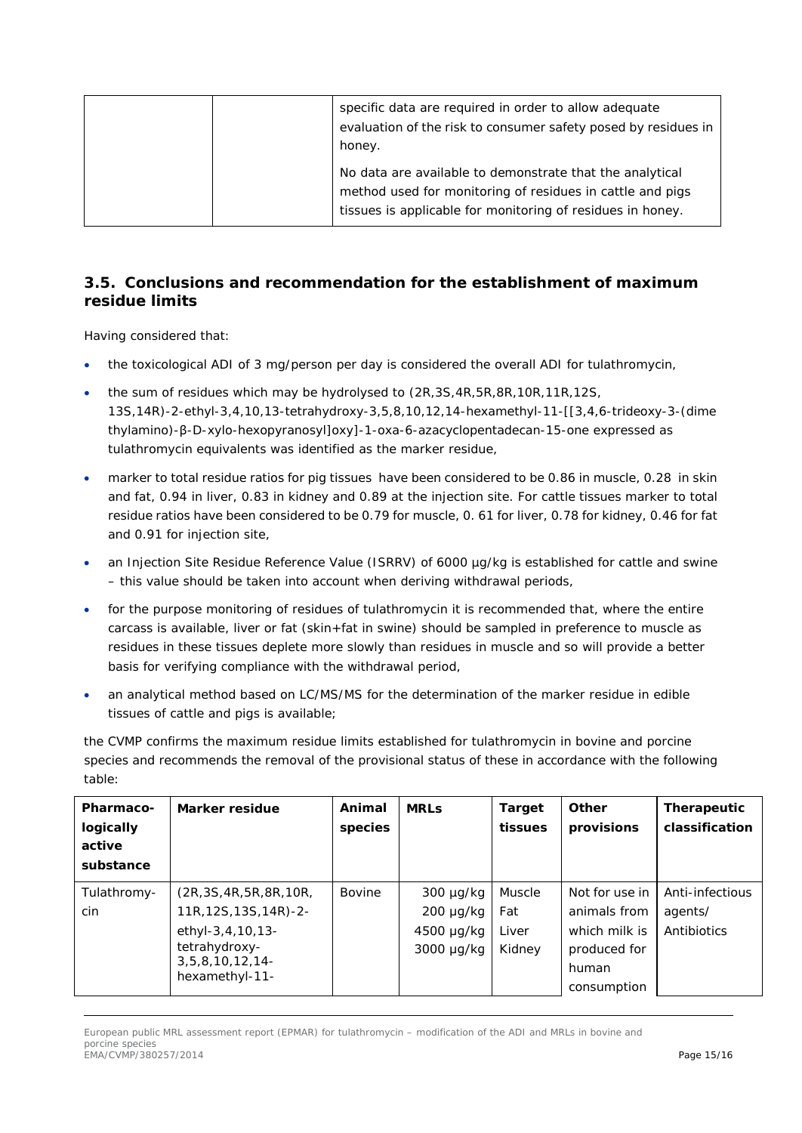| specific data are required in order to allow adequate<br>evaluation of the risk to consumer safety posed by residues in<br>honey.                                                   |
|-------------------------------------------------------------------------------------------------------------------------------------------------------------------------------------|
| No data are available to demonstrate that the analytical<br>method used for monitoring of residues in cattle and pigs<br>tissues is applicable for monitoring of residues in honey. |

### *3.5. Conclusions and recommendation for the establishment of maximum residue limits*

Having considered that:

- the toxicological ADI of 3 mg/person per day is considered the overall ADI for tulathromycin,
- the sum of residues which may be hydrolysed to (2R,3S,4R,5R,8R,10R,11R,12S, 13S,14R)-2-ethyl-3,4,10,13-tetrahydroxy-3,5,8,10,12,14-hexamethyl-11-[[3,4,6-trideoxy-3-(dime thylamino)-β-D-xylo-hexopyranosyl]oxy]-1-oxa-6-azacyclopentadecan-15-one expressed as tulathromycin equivalents was identified as the marker residue,
- marker to total residue ratios for pig tissues have been considered to be 0.86 in muscle, 0.28 in skin and fat, 0.94 in liver, 0.83 in kidney and 0.89 at the injection site. For cattle tissues marker to total residue ratios have been considered to be 0.79 for muscle, 0. 61 for liver, 0.78 for kidney, 0.46 for fat and 0.91 for injection site,
- an Injection Site Residue Reference Value (ISRRV) of 6000 µg/kg is established for cattle and swine – this value should be taken into account when deriving withdrawal periods,
- for the purpose monitoring of residues of tulathromycin it is recommended that, where the entire carcass is available, liver or fat (skin+fat in swine) should be sampled in preference to muscle as residues in these tissues deplete more slowly than residues in muscle and so will provide a better basis for verifying compliance with the withdrawal period,
- an analytical method based on LC/MS/MS for the determination of the marker residue in edible tissues of cattle and pigs is available;

the CVMP confirms the maximum residue limits established for tulathromycin in bovine and porcine species and recommends the removal of the provisional status of these in accordance with the following table:

| Pharmaco-<br>logically<br>active<br>substance | Marker residue                                                                                                                   | Animal<br>species | <b>MRLs</b>                                             | <b>Target</b><br>tissues         | Other<br>provisions                                                                     | Therapeutic<br>classification             |
|-----------------------------------------------|----------------------------------------------------------------------------------------------------------------------------------|-------------------|---------------------------------------------------------|----------------------------------|-----------------------------------------------------------------------------------------|-------------------------------------------|
| Tulathromy-<br>cin                            | (2R, 3S, 4R, 5R, 8R, 10R,<br>11R, 12S, 13S, 14R)-2-<br>ethyl-3,4,10,13-<br>tetrahydroxy-<br>$3,5,8,10,12,14$ -<br>hexamethyl-11- | Bovine            | 300 µg/kg<br>$200 \mu g/kg$<br>4500 µg/kg<br>3000 µg/kg | Muscle<br>Fat<br>Liver<br>Kidney | Not for use in<br>animals from<br>which milk is<br>produced for<br>human<br>consumption | Anti-infectious<br>agents/<br>Antibiotics |